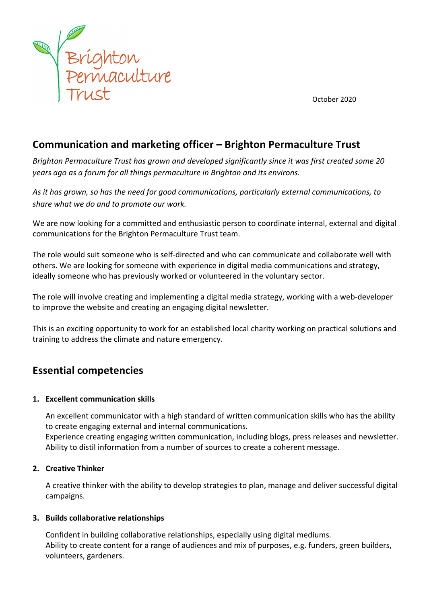

October 2020

# **Communication and marketing officer – Brighton Permaculture Trust**

Brighton Permaculture Trust has grown and developed significantly since it was first created some 20 *years* ago as a forum for all things permaculture in Brighton and its environs.

As it has grown, so has the need for good communications, particularly external communications, to share what we do and to promote our work.

We are now looking for a committed and enthusiastic person to coordinate internal, external and digital communications for the Brighton Permaculture Trust team.

The role would suit someone who is self-directed and who can communicate and collaborate well with others. We are looking for someone with experience in digital media communications and strategy, ideally someone who has previously worked or volunteered in the voluntary sector.

The role will involve creating and implementing a digital media strategy, working with a web-developer to improve the website and creating an engaging digital newsletter.

This is an exciting opportunity to work for an established local charity working on practical solutions and training to address the climate and nature emergency.

# **Essential competencies**

### 1. **Excellent communication skills**

An excellent communicator with a high standard of written communication skills who has the ability to create engaging external and internal communications. Experience creating engaging written communication, including blogs, press releases and newsletter. Ability to distil information from a number of sources to create a coherent message.

### **2. Creative Thinker**

A creative thinker with the ability to develop strategies to plan, manage and deliver successful digital campaigns. 

### **3.** Builds collaborative relationships

Confident in building collaborative relationships, especially using digital mediums. Ability to create content for a range of audiences and mix of purposes, e.g. funders, green builders, volunteers, gardeners.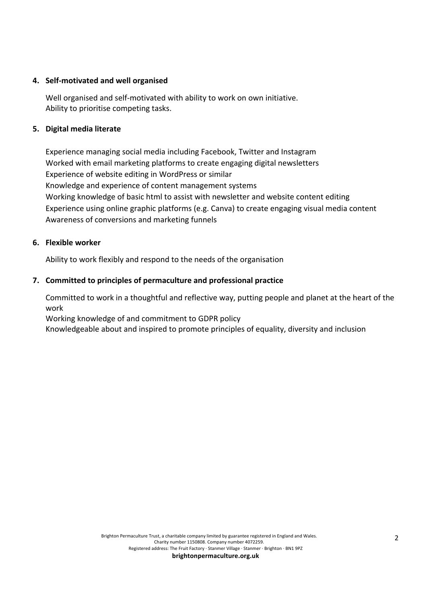### **4. Self-motivated and well organised**

Well organised and self-motivated with ability to work on own initiative. Ability to prioritise competing tasks.

### **5. Digital media literate**

Experience managing social media including Facebook, Twitter and Instagram Worked with email marketing platforms to create engaging digital newsletters Experience of website editing in WordPress or similar Knowledge and experience of content management systems Working knowledge of basic html to assist with newsletter and website content editing Experience using online graphic platforms (e.g. Canva) to create engaging visual media content Awareness of conversions and marketing funnels

#### **6. Flexible worker**

Ability to work flexibly and respond to the needs of the organisation

### **7.** Committed to principles of permaculture and professional practice

Committed to work in a thoughtful and reflective way, putting people and planet at the heart of the work

Working knowledge of and commitment to GDPR policy

Knowledgeable about and inspired to promote principles of equality, diversity and inclusion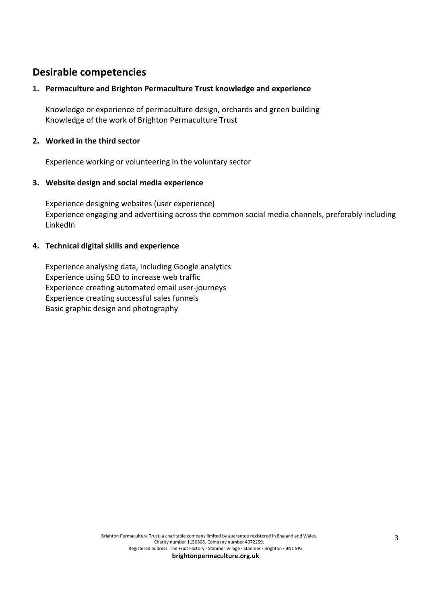### **Desirable competencies**

### 1. Permaculture and Brighton Permaculture Trust knowledge and experience

Knowledge or experience of permaculture design, orchards and green building Knowledge of the work of Brighton Permaculture Trust

#### **2.** Worked in the third sector

Experience working or volunteering in the voluntary sector

### **3.** Website design and social media experience

Experience designing websites (user experience) Experience engaging and advertising across the common social media channels, preferably including LinkedIn

### **4. Technical digital skills and experience**

Experience analysing data, including Google analytics Experience using SEO to increase web traffic Experience creating automated email user-journeys Experience creating successful sales funnels Basic graphic design and photography